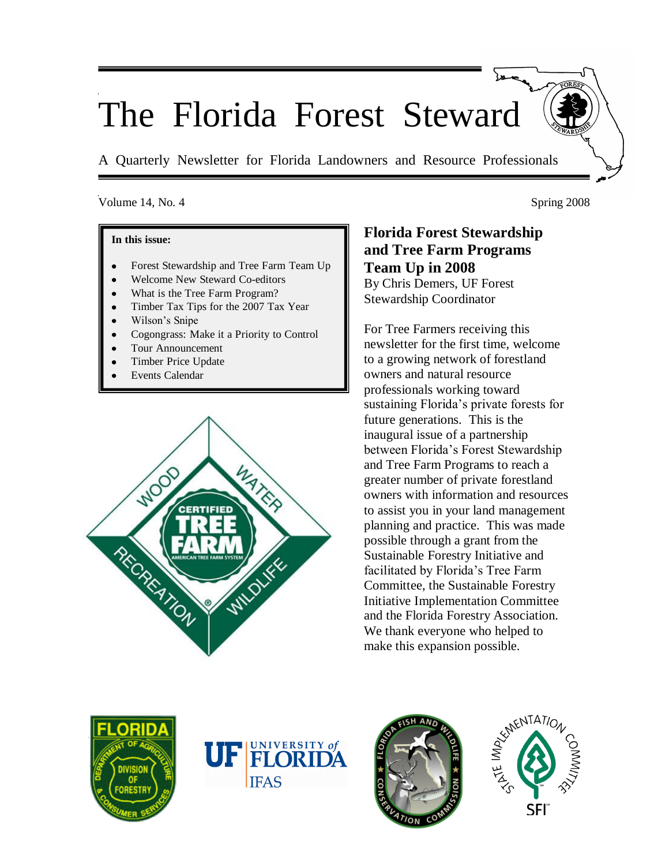# The Florida Forest Steward

A Quarterly Newsletter for Florida Landowners and Resource Professionals

## Volume 14, No. 4 Spring 2008

#### **In this issue:**

- Forest Stewardship and Tree Farm Team Up
- Welcome New Steward Co-editors
- What is the Tree Farm Program?
- Timber Tax Tips for the 2007 Tax Year
- Wilson"s Snipe
- Cogongrass: Make it a Priority to Control
- Tour Announcement
- Timber Price Update
- Events Calendar



**Florida Forest Stewardship and Tree Farm Programs Team Up in 2008** By Chris Demers, UF Forest

Stewardship Coordinator

For Tree Farmers receiving this newsletter for the first time, welcome to a growing network of forestland owners and natural resource professionals working toward sustaining Florida"s private forests for future generations. This is the inaugural issue of a partnership between Florida"s Forest Stewardship and Tree Farm Programs to reach a greater number of private forestland owners with information and resources to assist you in your land management planning and practice. This was made possible through a grant from the Sustainable Forestry Initiative and facilitated by Florida"s Tree Farm Committee, the Sustainable Forestry Initiative Implementation Committee and the Florida Forestry Association. We thank everyone who helped to make this expansion possible.







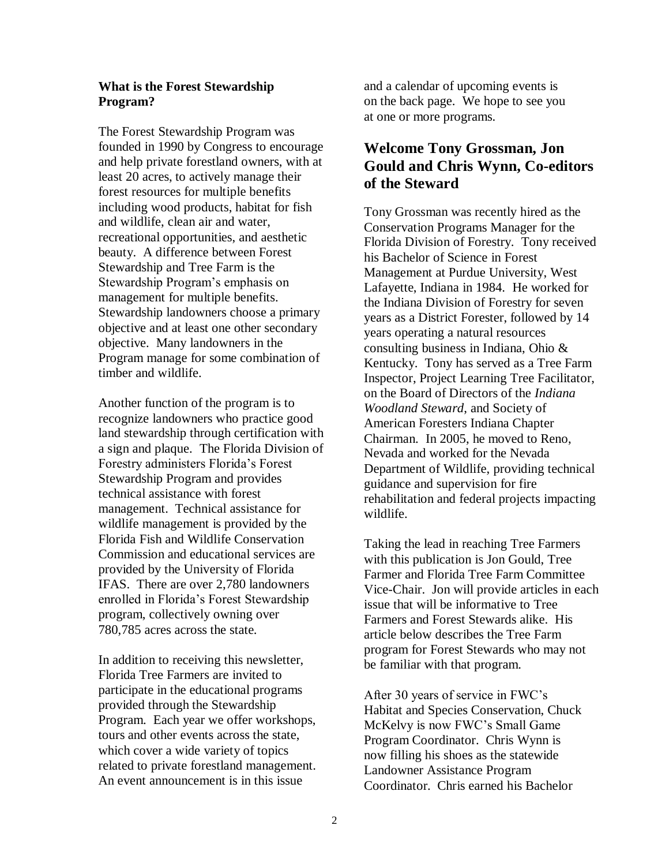## **What is the Forest Stewardship Program?**

The Forest Stewardship Program was founded in 1990 by Congress to encourage and help private forestland owners, with at least 20 acres, to actively manage their forest resources for multiple benefits including wood products, habitat for fish and wildlife, clean air and water, recreational opportunities, and aesthetic beauty. A difference between Forest Stewardship and Tree Farm is the Stewardship Program"s emphasis on management for multiple benefits. Stewardship landowners choose a primary objective and at least one other secondary objective. Many landowners in the Program manage for some combination of timber and wildlife.

Another function of the program is to recognize landowners who practice good land stewardship through certification with a sign and plaque. The Florida Division of Forestry administers Florida"s Forest Stewardship Program and provides technical assistance with forest management. Technical assistance for wildlife management is provided by the Florida Fish and Wildlife Conservation Commission and educational services are provided by the University of Florida IFAS. There are over 2,780 landowners enrolled in Florida"s Forest Stewardship program, collectively owning over 780,785 acres across the state.

In addition to receiving this newsletter, Florida Tree Farmers are invited to participate in the educational programs provided through the Stewardship Program. Each year we offer workshops, tours and other events across the state, which cover a wide variety of topics related to private forestland management. An event announcement is in this issue

and a calendar of upcoming events is on the back page. We hope to see you at one or more programs.

## **Welcome Tony Grossman, Jon Gould and Chris Wynn, Co-editors of the Steward**

Tony Grossman was recently hired as the Conservation Programs Manager for the Florida Division of Forestry. Tony received his Bachelor of Science in Forest Management at Purdue University, West Lafayette, Indiana in 1984. He worked for the Indiana Division of Forestry for seven years as a District Forester, followed by 14 years operating a natural resources consulting business in Indiana, Ohio & Kentucky. Tony has served as a Tree Farm Inspector, Project Learning Tree Facilitator, on the Board of Directors of the *Indiana Woodland Steward*, and Society of American Foresters Indiana Chapter Chairman. In 2005, he moved to Reno, Nevada and worked for the Nevada Department of Wildlife, providing technical guidance and supervision for fire rehabilitation and federal projects impacting wildlife.

Taking the lead in reaching Tree Farmers with this publication is Jon Gould, Tree Farmer and Florida Tree Farm Committee Vice-Chair. Jon will provide articles in each issue that will be informative to Tree Farmers and Forest Stewards alike. His article below describes the Tree Farm program for Forest Stewards who may not be familiar with that program.

After 30 years of service in FWC"s Habitat and Species Conservation, Chuck McKelvy is now FWC"s Small Game Program Coordinator. Chris Wynn is now filling his shoes as the statewide Landowner Assistance Program Coordinator. Chris earned his Bachelor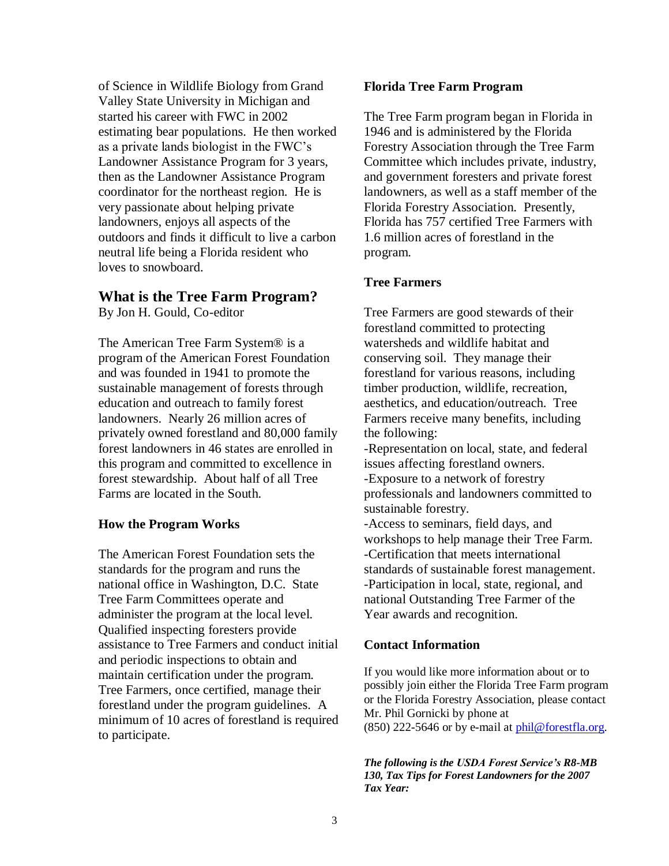of Science in Wildlife Biology from Grand Valley State University in Michigan and started his career with FWC in 2002 estimating bear populations. He then worked as a private lands biologist in the FWC"s Landowner Assistance Program for 3 years, then as the Landowner Assistance Program coordinator for the northeast region. He is very passionate about helping private landowners, enjoys all aspects of the outdoors and finds it difficult to live a carbon neutral life being a Florida resident who loves to snowboard.

## **What is the Tree Farm Program?**

By Jon H. Gould, Co-editor

The American Tree Farm System® is a program of the American Forest Foundation and was founded in 1941 to promote the sustainable management of forests through education and outreach to family forest landowners. Nearly 26 million acres of privately owned forestland and 80,000 family forest landowners in 46 states are enrolled in this program and committed to excellence in forest stewardship. About half of all Tree Farms are located in the South.

## **How the Program Works**

The American Forest Foundation sets the standards for the program and runs the national office in Washington, D.C. State Tree Farm Committees operate and administer the program at the local level. Qualified inspecting foresters provide assistance to Tree Farmers and conduct initial and periodic inspections to obtain and maintain certification under the program. Tree Farmers, once certified, manage their forestland under the program guidelines. A minimum of 10 acres of forestland is required to participate.

## **Florida Tree Farm Program**

The Tree Farm program began in Florida in 1946 and is administered by the Florida Forestry Association through the Tree Farm Committee which includes private, industry, and government foresters and private forest landowners, as well as a staff member of the Florida Forestry Association. Presently, Florida has 757 certified Tree Farmers with 1.6 million acres of forestland in the program.

## **Tree Farmers**

Tree Farmers are good stewards of their forestland committed to protecting watersheds and wildlife habitat and conserving soil. They manage their forestland for various reasons, including timber production, wildlife, recreation, aesthetics, and education/outreach. Tree Farmers receive many benefits, including the following:

-Representation on local, state, and federal issues affecting forestland owners. -Exposure to a network of forestry professionals and landowners committed to

sustainable forestry.

-Access to seminars, field days, and workshops to help manage their Tree Farm. -Certification that meets international standards of sustainable forest management. -Participation in local, state, regional, and national Outstanding Tree Farmer of the Year awards and recognition.

## **Contact Information**

If you would like more information about or to possibly join either the Florida Tree Farm program or the Florida Forestry Association, please contact Mr. Phil Gornicki by phone at (850) 222-5646 or by e-mail a[t phil@forestfla.org.](mailto:phil@forestfla.org)

*The following is the USDA Forest Service's R8-MB 130, Tax Tips for Forest Landowners for the 2007 Tax Year:*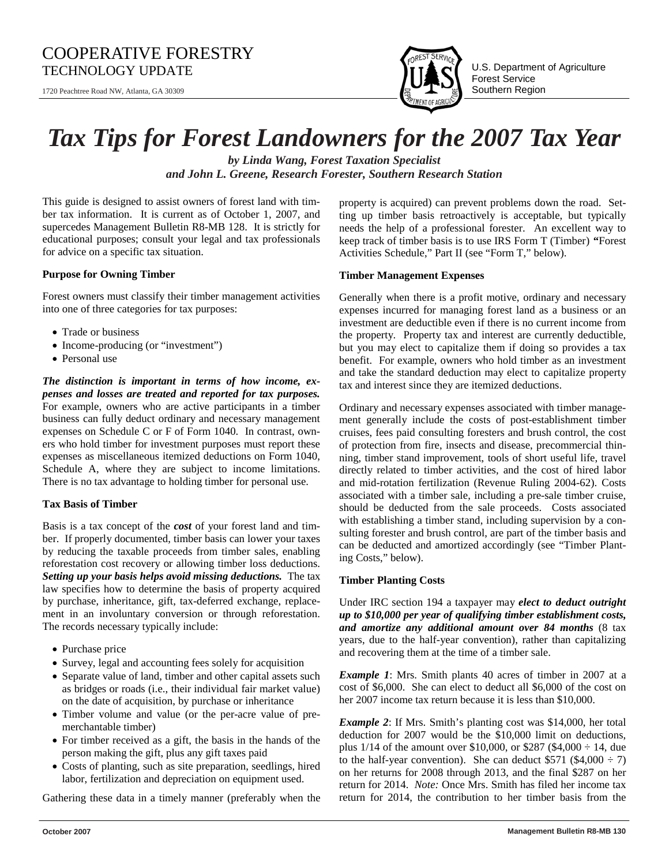## COOPERATIVE FORESTRY TECHNOLOGY UPDATE  $\prod_{i=1}^{\infty} \prod_{i=1}^{\infty} \prod_{j=1}^{\infty} \prod_{j=1}^{\infty}$  U.S. Department of Agriculture

1720 Peachtree Road NW, Atlanta, GA 30309



Forest Service Southern Region

## *Tax Tips for Forest Landowners for the 2007 Tax Year*

*by Linda Wang, Forest Taxation Specialist and John L. Greene, Research Forester, Southern Research Station*

This guide is designed to assist owners of forest land with timber tax information. It is current as of October 1, 2007, and supercedes Management Bulletin R8-MB 128. It is strictly for educational purposes; consult your legal and tax professionals for advice on a specific tax situation.

#### **Purpose for Owning Timber**

Forest owners must classify their timber management activities into one of three categories for tax purposes:

- Trade or business
- Income-producing (or "investment")
- Personal use

*The distinction is important in terms of how income, expenses and losses are treated and reported for tax purposes.*  For example, owners who are active participants in a timber business can fully deduct ordinary and necessary management expenses on Schedule C or F of Form 1040. In contrast, owners who hold timber for investment purposes must report these expenses as miscellaneous itemized deductions on Form 1040, Schedule A, where they are subject to income limitations. There is no tax advantage to holding timber for personal use.

#### **Tax Basis of Timber**

Basis is a tax concept of the *cost* of your forest land and timber. If properly documented, timber basis can lower your taxes by reducing the taxable proceeds from timber sales, enabling reforestation cost recovery or allowing timber loss deductions. *Setting up your basis helps avoid missing deductions.* The tax law specifies how to determine the basis of property acquired by purchase, inheritance, gift, tax-deferred exchange, replacement in an involuntary conversion or through reforestation. The records necessary typically include:

- Purchase price
- Survey, legal and accounting fees solely for acquisition
- Separate value of land, timber and other capital assets such as bridges or roads (i.e., their individual fair market value) on the date of acquisition, by purchase or inheritance
- Timber volume and value (or the per-acre value of premerchantable timber)
- For timber received as a gift, the basis in the hands of the person making the gift, plus any gift taxes paid
- Costs of planting, such as site preparation, seedlings, hired labor, fertilization and depreciation on equipment used.

Gathering these data in a timely manner (preferably when the

property is acquired) can prevent problems down the road. Setting up timber basis retroactively is acceptable, but typically needs the help of a professional forester. An excellent way to keep track of timber basis is to use IRS Form T (Timber) **"**Forest Activities Schedule," Part II (see "Form T," below).

#### **Timber Management Expenses**

Generally when there is a profit motive, ordinary and necessary expenses incurred for managing forest land as a business or an investment are deductible even if there is no current income from the property. Property tax and interest are currently deductible, but you may elect to capitalize them if doing so provides a tax benefit. For example, owners who hold timber as an investment and take the standard deduction may elect to capitalize property tax and interest since they are itemized deductions.

Ordinary and necessary expenses associated with timber management generally include the costs of post-establishment timber cruises, fees paid consulting foresters and brush control, the cost of protection from fire, insects and disease, precommercial thinning, timber stand improvement, tools of short useful life, travel directly related to timber activities, and the cost of hired labor and mid-rotation fertilization (Revenue Ruling 2004-62). Costs associated with a timber sale, including a pre-sale timber cruise, should be deducted from the sale proceeds. Costs associated with establishing a timber stand, including supervision by a consulting forester and brush control, are part of the timber basis and can be deducted and amortized accordingly (see "Timber Planting Costs," below).

#### **Timber Planting Costs**

Under IRC section 194 a taxpayer may *elect to deduct outright up to \$10,000 per year of qualifying timber establishment costs, and amortize any additional amount over 84 months* (8 tax years, due to the half-year convention), rather than capitalizing and recovering them at the time of a timber sale.

*Example 1*: Mrs. Smith plants 40 acres of timber in 2007 at a cost of \$6,000. She can elect to deduct all \$6,000 of the cost on her 2007 income tax return because it is less than \$10,000.

*Example 2*: If Mrs. Smith's planting cost was \$14,000, her total deduction for 2007 would be the \$10,000 limit on deductions, plus 1/14 of the amount over \$10,000, or \$287 (\$4,000 ÷ 14, due to the half-year convention). She can deduct  $$571 ($4,000 \div 7)$ on her returns for 2008 through 2013, and the final \$287 on her return for 2014. *Note:* Once Mrs. Smith has filed her income tax return for 2014, the contribution to her timber basis from the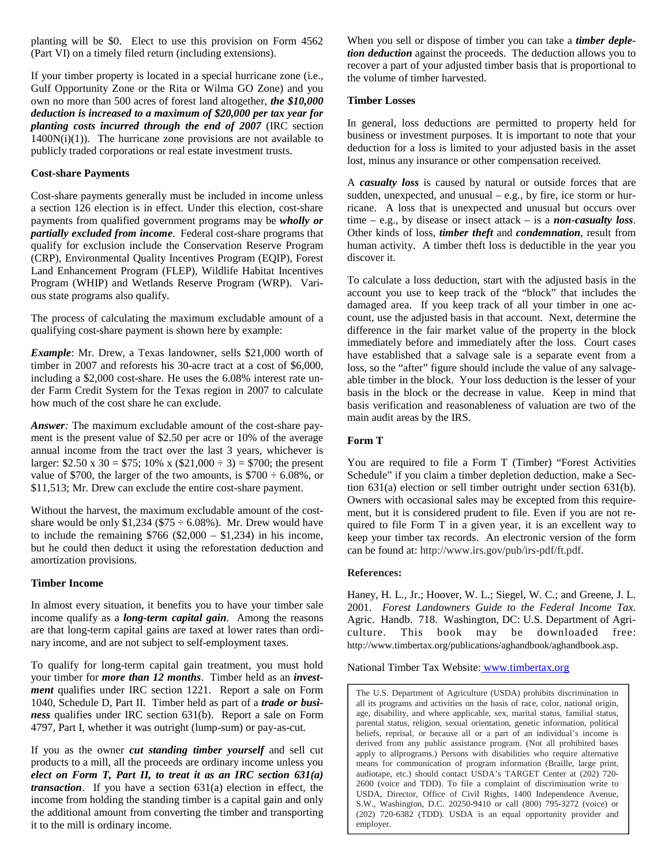planting will be \$0. Elect to use this provision on Form 4562 (Part VI) on a timely filed return (including extensions).

If your timber property is located in a special hurricane zone (i.e., Gulf Opportunity Zone or the Rita or Wilma GO Zone) and you own no more than 500 acres of forest land altogether, *the \$10,000 deduction is increased to a maximum of \$20,000 per tax year for planting costs incurred through the end of 2007* (IRC section  $1400N(i)(1)$ ). The hurricane zone provisions are not available to publicly traded corporations or real estate investment trusts.

#### **Cost-share Payments**

Cost-share payments generally must be included in income unless a section 126 election is in effect. Under this election, cost-share payments from qualified government programs may be *wholly or partially excluded from income*. Federal cost-share programs that qualify for exclusion include the Conservation Reserve Program (CRP), Environmental Quality Incentives Program (EQIP), Forest Land Enhancement Program (FLEP), Wildlife Habitat Incentives Program (WHIP) and Wetlands Reserve Program (WRP). Various state programs also qualify.

The process of calculating the maximum excludable amount of a qualifying cost-share payment is shown here by example:

*Example*: Mr. Drew, a Texas landowner, sells \$21,000 worth of timber in 2007 and reforests his 30-acre tract at a cost of \$6,000, including a \$2,000 cost-share. He uses the 6.08% interest rate under Farm Credit System for the Texas region in 2007 to calculate how much of the cost share he can exclude.

*Answer:* The maximum excludable amount of the cost-share payment is the present value of \$2.50 per acre or 10% of the average annual income from the tract over the last 3 years, whichever is larger: \$2.50 x 30 = \$75; 10% x (\$21,000  $\div$  3) = \$700; the present value of \$700, the larger of the two amounts, is  $$700 \div 6.08\%$ , or \$11,513; Mr. Drew can exclude the entire cost-share payment.

Without the harvest, the maximum excludable amount of the costshare would be only  $$1,234$  ( $$75 \div 6.08\%$ ). Mr. Drew would have to include the remaining  $$766 ($2,000 - $1,234)$  in his income, but he could then deduct it using the reforestation deduction and amortization provisions.

#### **Timber Income**

In almost every situation, it benefits you to have your timber sale income qualify as a *long-term capital gain*. Among the reasons are that long-term capital gains are taxed at lower rates than ordinary income, and are not subject to self-employment taxes.

To qualify for long-term capital gain treatment, you must hold your timber for *more than 12 months*. Timber held as an *investment* qualifies under IRC section 1221. Report a sale on Form 1040, Schedule D, Part II. Timber held as part of a *trade or business* qualifies under IRC section 631(b). Report a sale on Form 4797, Part I, whether it was outright (lump-sum) or pay-as-cut.

If you as the owner *cut standing timber yourself* and sell cut products to a mill, all the proceeds are ordinary income unless you *elect on Form T, Part II, to treat it as an IRC section 631(a) transaction*. If you have a section 631(a) election in effect, the income from holding the standing timber is a capital gain and only the additional amount from converting the timber and transporting it to the mill is ordinary income.

When you sell or dispose of timber you can take a *timber depletion deduction* against the proceeds. The deduction allows you to recover a part of your adjusted timber basis that is proportional to the volume of timber harvested.

#### **Timber Losses**

In general, loss deductions are permitted to property held for business or investment purposes. It is important to note that your deduction for a loss is limited to your adjusted basis in the asset lost, minus any insurance or other compensation received.

A *casualty loss* is caused by natural or outside forces that are sudden, unexpected, and unusual  $-e.g.,$  by fire, ice storm or hurricane. A loss that is unexpected and unusual but occurs over time – e.g., by disease or insect attack – is a *non-casualty loss*. Other kinds of loss, *timber theft* and *condemnation*, result from human activity. A timber theft loss is deductible in the year you discover it.

To calculate a loss deduction, start with the adjusted basis in the account you use to keep track of the "block" that includes the damaged area. If you keep track of all your timber in one account, use the adjusted basis in that account. Next, determine the difference in the fair market value of the property in the block immediately before and immediately after the loss. Court cases have established that a salvage sale is a separate event from a loss, so the "after" figure should include the value of any salvageable timber in the block. Your loss deduction is the lesser of your basis in the block or the decrease in value. Keep in mind that basis verification and reasonableness of valuation are two of the main audit areas by the IRS.

#### **Form T**

You are required to file a Form T (Timber) "Forest Activities Schedule" if you claim a timber depletion deduction, make a Section 631(a) election or sell timber outright under section 631(b). Owners with occasional sales may be excepted from this requirement, but it is considered prudent to file. Even if you are not required to file Form T in a given year, it is an excellent way to keep your timber tax records. An electronic version of the form can be found at: http://www.irs.gov/pub/irs-pdf/ft.pdf.

#### **References:**

Haney, H. L., Jr.; Hoover, W. L.; Siegel, W. C.; and Greene, J. L. 2001. *Forest Landowners Guide to the Federal Income Tax*. Agric. Handb. 718. Washington, DC: U.S. Department of Agriculture. This book may be downloaded free: http://www.timbertax.org/publications/aghandbook/aghandbook.asp.

National Timber Tax Website: www.timbertax.org

The U.S. Department of Agriculture (USDA) prohibits discrimination in all its programs and activities on the basis of race, color, national origin, age, disability, and where applicable, sex, marital status, familial status, parental status, religion, sexual orientation, genetic information, political beliefs, reprisal, or because all or a part of an individual's income is derived from any public assistance program. (Not all prohibited bases apply to allprograms.) Persons with disabilities who require alternative means for communication of program information (Braille, large print, audiotape, etc.) should contact USDA's TARGET Center at (202) 720- 2600 (voice and TDD). To file a complaint of discrimination write to USDA, Director, Office of Civil Rights, 1400 Independence Avenue, S.W., Washington, D.C. 20250-9410 or call (800) 795-3272 (voice) or (202) 720-6382 (TDD). USDA is an equal opportunity provider and employer.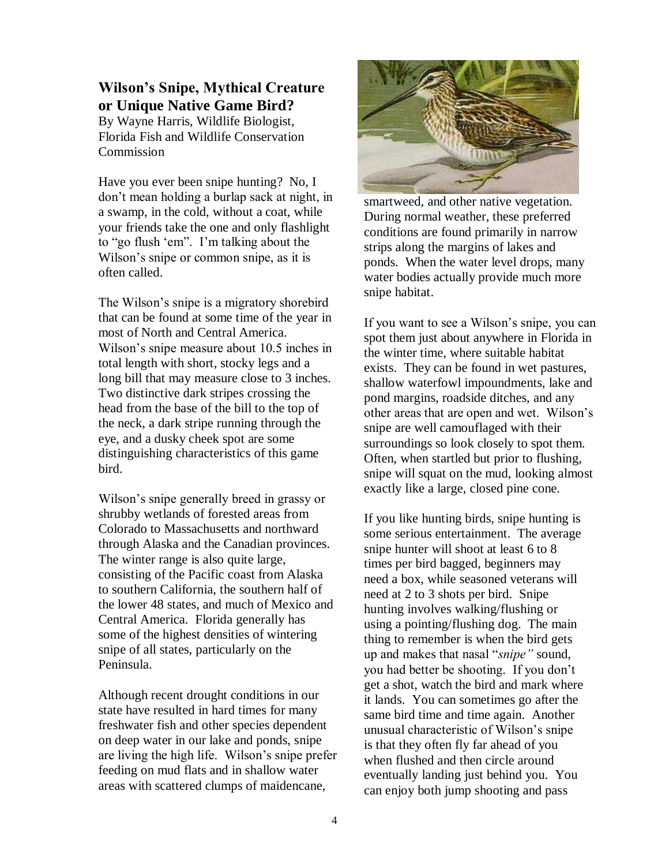## **Wilson's Snipe, Mythical Creature or Unique Native Game Bird?**

By Wayne Harris, Wildlife Biologist, Florida Fish and Wildlife Conservation Commission

Have you ever been snipe hunting? No, I don"t mean holding a burlap sack at night, in a swamp, in the cold, without a coat, while your friends take the one and only flashlight to "go flush "em". I"m talking about the Wilson"s snipe or common snipe, as it is often called.

The Wilson's snipe is a migratory shorebird that can be found at some time of the year in most of North and Central America. Wilson"s snipe measure about 10.5 inches in total length with short, stocky legs and a long bill that may measure close to 3 inches. Two distinctive dark stripes crossing the head from the base of the bill to the top of the neck, a dark stripe running through the eye, and a dusky cheek spot are some distinguishing characteristics of this game bird.

Wilson"s snipe generally breed in grassy or shrubby wetlands of forested areas from Colorado to Massachusetts and northward through Alaska and the Canadian provinces. The winter range is also quite large, consisting of the Pacific coast from Alaska to southern California, the southern half of the lower 48 states, and much of Mexico and Central America. Florida generally has some of the highest densities of wintering snipe of all states, particularly on the Peninsula.

Although recent drought conditions in our state have resulted in hard times for many freshwater fish and other species dependent on deep water in our lake and ponds, snipe are living the high life. Wilson"s snipe prefer feeding on mud flats and in shallow water areas with scattered clumps of maidencane,



smartweed, and other native vegetation. During normal weather, these preferred conditions are found primarily in narrow strips along the margins of lakes and ponds. When the water level drops, many water bodies actually provide much more snipe habitat.

If you want to see a Wilson"s snipe, you can spot them just about anywhere in Florida in the winter time, where suitable habitat exists. They can be found in wet pastures, shallow waterfowl impoundments, lake and pond margins, roadside ditches, and any other areas that are open and wet. Wilson"s snipe are well camouflaged with their surroundings so look closely to spot them. Often, when startled but prior to flushing, snipe will squat on the mud, looking almost exactly like a large, closed pine cone.

If you like hunting birds, snipe hunting is some serious entertainment. The average snipe hunter will shoot at least 6 to 8 times per bird bagged, beginners may need a box, while seasoned veterans will need at 2 to 3 shots per bird. Snipe hunting involves walking/flushing or using a pointing/flushing dog. The main thing to remember is when the bird gets up and makes that nasal "*snipe"* sound, you had better be shooting. If you don"t get a shot, watch the bird and mark where it lands. You can sometimes go after the same bird time and time again. Another unusual characteristic of Wilson"s snipe is that they often fly far ahead of you when flushed and then circle around eventually landing just behind you. You can enjoy both jump shooting and pass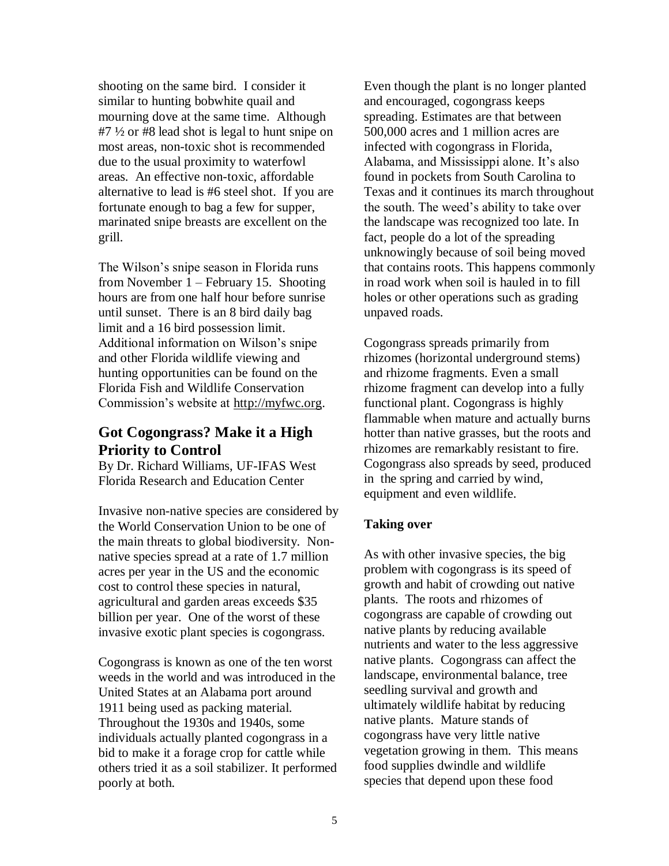shooting on the same bird. I consider it similar to hunting bobwhite quail and mourning dove at the same time. Although #7 ½ or #8 lead shot is legal to hunt snipe on most areas, non-toxic shot is recommended due to the usual proximity to waterfowl areas. An effective non-toxic, affordable alternative to lead is #6 steel shot. If you are fortunate enough to bag a few for supper, marinated snipe breasts are excellent on the grill.

The Wilson"s snipe season in Florida runs from November 1 – February 15. Shooting hours are from one half hour before sunrise until sunset. There is an 8 bird daily bag limit and a 16 bird possession limit. Additional information on Wilson"s snipe and other Florida wildlife viewing and hunting opportunities can be found on the Florida Fish and Wildlife Conservation Commission"s website at http://myfwc.org.

## **Got Cogongrass? Make it a High Priority to Control**

By Dr. Richard Williams, UF-IFAS West Florida Research and Education Center

Invasive non-native species are considered by the World Conservation Union to be one of the main threats to global biodiversity. Nonnative species spread at a rate of 1.7 million acres per year in the US and the economic cost to control these species in natural, agricultural and garden areas exceeds \$35 billion per year. One of the worst of these invasive exotic plant species is cogongrass.

Cogongrass is known as one of the ten worst weeds in the world and was introduced in the United States at an Alabama port around 1911 being used as packing material. Throughout the 1930s and 1940s, some individuals actually planted cogongrass in a bid to make it a forage crop for cattle while others tried it as a soil stabilizer. It performed poorly at both.

Even though the plant is no longer planted and encouraged, cogongrass keeps spreading. Estimates are that between 500,000 acres and 1 million acres are infected with cogongrass in Florida, Alabama, and Mississippi alone. It's also found in pockets from South Carolina to Texas and it continues its march throughout the south. The weed"s ability to take over the landscape was recognized too late. In fact, people do a lot of the spreading unknowingly because of soil being moved that contains roots. This happens commonly in road work when soil is hauled in to fill holes or other operations such as grading unpaved roads.

Cogongrass spreads primarily from rhizomes (horizontal underground stems) and rhizome fragments. Even a small rhizome fragment can develop into a fully functional plant. Cogongrass is highly flammable when mature and actually burns hotter than native grasses, but the roots and rhizomes are remarkably resistant to fire. Cogongrass also spreads by seed, produced in the spring and carried by wind, equipment and even wildlife.

## **Taking over**

As with other invasive species, the big problem with cogongrass is its speed of growth and habit of crowding out native plants. The roots and rhizomes of cogongrass are capable of crowding out native plants by reducing available nutrients and water to the less aggressive native plants. Cogongrass can affect the landscape, environmental balance, tree seedling survival and growth and ultimately wildlife habitat by reducing native plants. Mature stands of cogongrass have very little native vegetation growing in them. This means food supplies dwindle and wildlife species that depend upon these food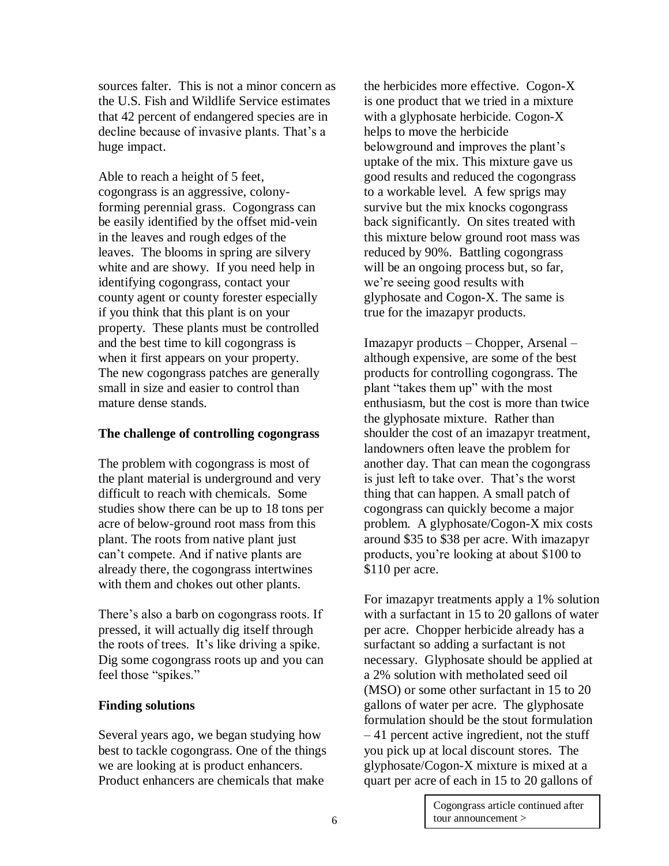sources falter. This is not a minor concern as the U.S. Fish and Wildlife Service estimates that 42 percent of endangered species are in decline because of invasive plants. That's a huge impact.

Able to reach a height of 5 feet, cogongrass is an aggressive, colonyforming perennial grass. Cogongrass can be easily identified by the offset mid-vein in the leaves and rough edges of the leaves. The blooms in spring are silvery white and are showy. If you need help in identifying cogongrass, contact your county agent or county forester especially if you think that this plant is on your property. These plants must be controlled and the best time to kill cogongrass is when it first appears on your property. The new cogongrass patches are generally small in size and easier to control than mature dense stands.

#### **The challenge of controlling cogongrass**

The problem with cogongrass is most of the plant material is underground and very difficult to reach with chemicals. Some studies show there can be up to 18 tons per acre of below-ground root mass from this plant. The roots from native plant just can"t compete. And if native plants are already there, the cogongrass intertwines with them and chokes out other plants.

There"s also a barb on cogongrass roots. If pressed, it will actually dig itself through the roots of trees. It"s like driving a spike. Dig some cogongrass roots up and you can feel those "spikes."

## **Finding solutions**

Several years ago, we began studying how best to tackle cogongrass. One of the things we are looking at is product enhancers. Product enhancers are chemicals that make

the herbicides more effective. Cogon-X is one product that we tried in a mixture with a glyphosate herbicide. Cogon-X helps to move the herbicide belowground and improves the plant"s uptake of the mix. This mixture gave us good results and reduced the cogongrass to a workable level. A few sprigs may survive but the mix knocks cogongrass back significantly. On sites treated with this mixture below ground root mass was reduced by 90%. Battling cogongrass will be an ongoing process but, so far, we"re seeing good results with glyphosate and Cogon-X. The same is true for the imazapyr products.

Imazapyr products – Chopper, Arsenal – although expensive, are some of the best products for controlling cogongrass. The plant "takes them up" with the most enthusiasm, but the cost is more than twice the glyphosate mixture. Rather than shoulder the cost of an imazapyr treatment, landowners often leave the problem for another day. That can mean the cogongrass is just left to take over. That"s the worst thing that can happen. A small patch of cogongrass can quickly become a major problem. A glyphosate/Cogon-X mix costs around \$35 to \$38 per acre. With imazapyr products, you"re looking at about \$100 to \$110 per acre.

For imazapyr treatments apply a 1% solution with a surfactant in 15 to 20 gallons of water per acre. Chopper herbicide already has a surfactant so adding a surfactant is not necessary. Glyphosate should be applied at a 2% solution with metholated seed oil (MSO) or some other surfactant in 15 to 20 gallons of water per acre. The glyphosate formulation should be the stout formulation – 41 percent active ingredient, not the stuff you pick up at local discount stores. The glyphosate/Cogon-X mixture is mixed at a quart per acre of each in 15 to 20 gallons of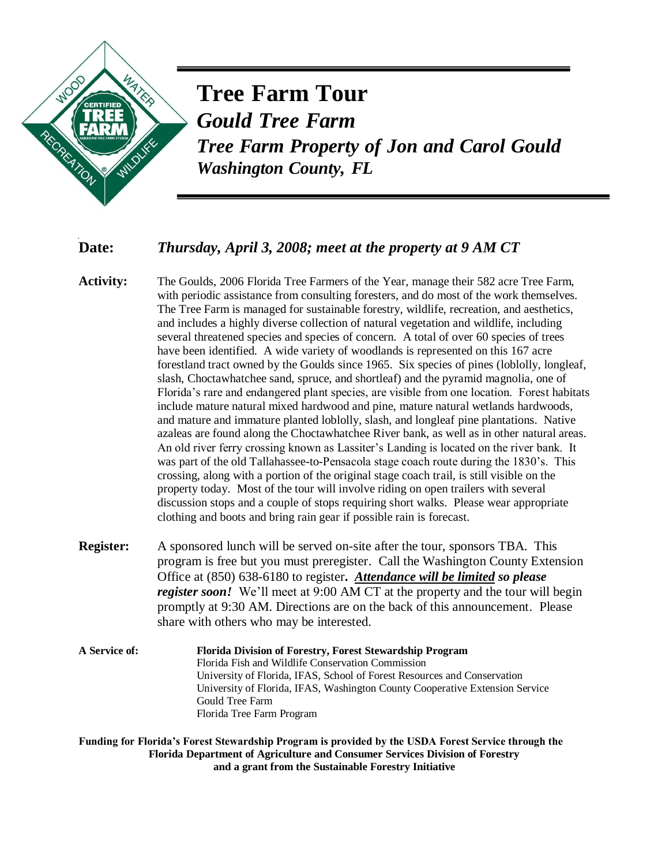

## **Tree Farm Tour** *Gould Tree Farm*

*Tree Farm Property of Jon and Carol Gould Washington County, FL*

## **Date:** *Thursday, April 3, 2008; meet at the property at 9 AM CT*

**Activity:** The Goulds, 2006 Florida Tree Farmers of the Year, manage their 582 acre Tree Farm, with periodic assistance from consulting foresters, and do most of the work themselves. The Tree Farm is managed for sustainable forestry, wildlife, recreation, and aesthetics, and includes a highly diverse collection of natural vegetation and wildlife, including several threatened species and species of concern. A total of over 60 species of trees have been identified. A wide variety of woodlands is represented on this 167 acre forestland tract owned by the Goulds since 1965. Six species of pines (loblolly, longleaf, slash, Choctawhatchee sand, spruce, and shortleaf) and the pyramid magnolia, one of Florida's rare and endangered plant species, are visible from one location. Forest habitats include mature natural mixed hardwood and pine, mature natural wetlands hardwoods, and mature and immature planted loblolly, slash, and longleaf pine plantations. Native azaleas are found along the Choctawhatchee River bank, as well as in other natural areas. An old river ferry crossing known as Lassiter's Landing is located on the river bank. It was part of the old Tallahassee-to-Pensacola stage coach route during the 1830's. This crossing, along with a portion of the original stage coach trail, is still visible on the property today. Most of the tour will involve riding on open trailers with several discussion stops and a couple of stops requiring short walks. Please wear appropriate clothing and boots and bring rain gear if possible rain is forecast.

**Register:** A sponsored lunch will be served on-site after the tour, sponsors TBA. This program is free but you must preregister. Call the Washington County Extension Office at (850) 638-6180 to register**.** *Attendance will be limited so please register soon!* We'll meet at 9:00 AM CT at the property and the tour will begin promptly at 9:30 AM. Directions are on the back of this announcement. Please share with others who may be interested.

**A Service of: Florida Division of Forestry, Forest Stewardship Program** Florida Fish and Wildlife Conservation Commission University of Florida, IFAS, School of Forest Resources and Conservation University of Florida, IFAS, Washington County Cooperative Extension Service Gould Tree Farm Florida Tree Farm Program

**Funding for Florida's Forest Stewardship Program is provided by the USDA Forest Service through the Florida Department of Agriculture and Consumer Services Division of Forestry and a grant from the Sustainable Forestry Initiative**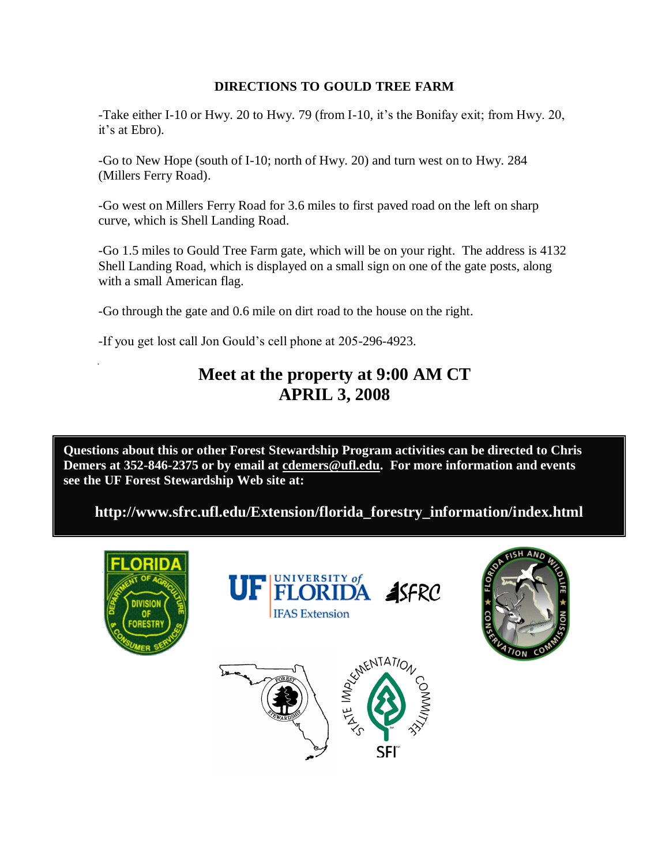## **DIRECTIONS TO GOULD TREE FARM**

-Take either I-10 or Hwy. 20 to Hwy. 79 (from I-10, it's the Bonifay exit; from Hwy. 20, it's at Ebro).

-Go to New Hope (south of I-10; north of Hwy. 20) and turn west on to Hwy. 284 (Millers Ferry Road).

-Go west on Millers Ferry Road for 3.6 miles to first paved road on the left on sharp curve, which is Shell Landing Road.

-Go 1.5 miles to Gould Tree Farm gate, which will be on your right. The address is 4132 Shell Landing Road, which is displayed on a small sign on one of the gate posts, along with a small American flag.

-Go through the gate and 0.6 mile on dirt road to the house on the right.

-If you get lost call Jon Gould's cell phone at 205-296-4923.

## **Meet at the property at 9:00 AM CT APRIL 3, 2008**

**Questions about this or other Forest Stewardship Program activities can be directed to Chris Demers at 352-846-2375 or by email at cdemers@ufl.edu. For more information and events see the UF Forest Stewardship Web site at:** 

**http://www.sfrc.ufl.edu/Extension/florida\_forestry\_information/index.html**





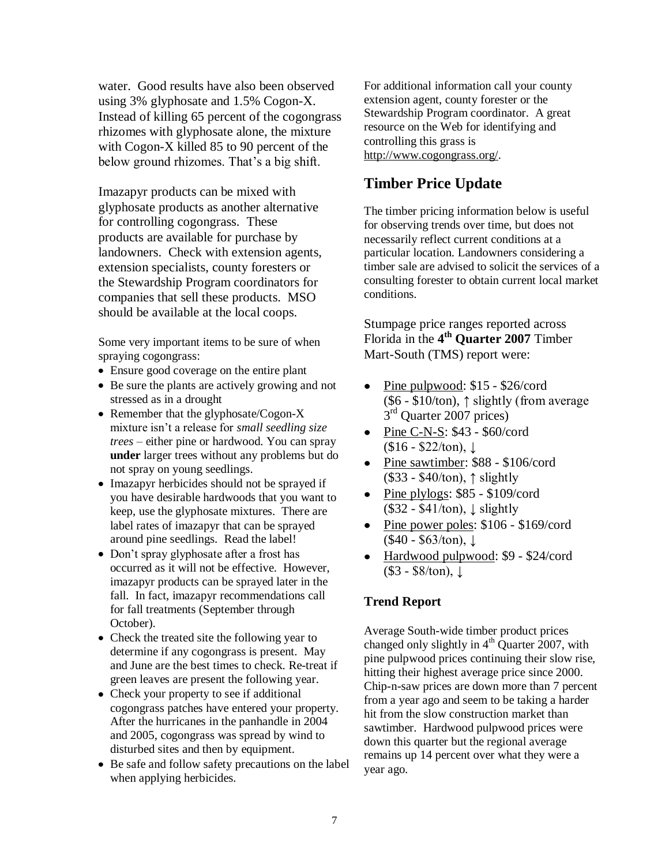water. Good results have also been observed using 3% glyphosate and 1.5% Cogon-X. Instead of killing 65 percent of the cogongrass rhizomes with glyphosate alone, the mixture with Cogon-X killed 85 to 90 percent of the below ground rhizomes. That's a big shift.

Imazapyr products can be mixed with glyphosate products as another alternative for controlling cogongrass. These products are available for purchase by landowners. Check with extension agents, extension specialists, county foresters or the Stewardship Program coordinators for companies that sell these products. MSO should be available at the local coops.

Some very important items to be sure of when spraying cogongrass:

- Ensure good coverage on the entire plant
- Be sure the plants are actively growing and not stressed as in a drought
- Remember that the glyphosate/Cogon-X mixture isn"t a release for *small seedling size trees* – either pine or hardwood. You can spray **under** larger trees without any problems but do not spray on young seedlings.
- Imazapyr herbicides should not be sprayed if you have desirable hardwoods that you want to keep, use the glyphosate mixtures. There are label rates of imazapyr that can be sprayed around pine seedlings. Read the label!
- Don't spray glyphosate after a frost has occurred as it will not be effective. However, imazapyr products can be sprayed later in the fall. In fact, imazapyr recommendations call for fall treatments (September through October).
- Check the treated site the following year to determine if any cogongrass is present. May and June are the best times to check. Re-treat if green leaves are present the following year.
- Check your property to see if additional cogongrass patches have entered your property. After the hurricanes in the panhandle in 2004 and 2005, cogongrass was spread by wind to disturbed sites and then by equipment.
- Be safe and follow safety precautions on the label when applying herbicides.

For additional information call your county extension agent, county forester or the Stewardship Program coordinator. A great resource on the Web for identifying and controlling this grass is http://www.cogongrass.org/.

## **Timber Price Update**

The timber pricing information below is useful for observing trends over time, but does not necessarily reflect current conditions at a particular location. Landowners considering a timber sale are advised to solicit the services of a consulting forester to obtain current local market conditions.

Stumpage price ranges reported across Florida in the **4 th Quarter 2007** Timber Mart-South (TMS) report were:

- Pine pulpwood:  $$15 $26$ /cord  $(\$6 - \$10/ton)$ ,  $\$$  slightly (from average 3<sup>rd</sup> Quarter 2007 prices)
- Pine C-N-S: \$43 \$60/cord  $$16 - $22/ton), \downarrow$
- Pine sawtimber: \$88 \$106/cord (\$33 - \$40/ton), ↑ slightly
- Pine plylogs:  $$85 $109/\text{cord}$  $($32 - $41/ton), \downarrow$  slightly
- Pine power poles: \$106 \$169/cord  $($40 - $63/ton), \downarrow$
- Hardwood pulpwood: \$9 \$24/cord (\$3 - \$8/ton), ↓

## **Trend Report**

Average South-wide timber product prices changed only slightly in  $4<sup>th</sup>$  Quarter 2007, with pine pulpwood prices continuing their slow rise, hitting their highest average price since 2000. Chip-n-saw prices are down more than 7 percent from a year ago and seem to be taking a harder hit from the slow construction market than sawtimber. Hardwood pulpwood prices were down this quarter but the regional average remains up 14 percent over what they were a year ago.